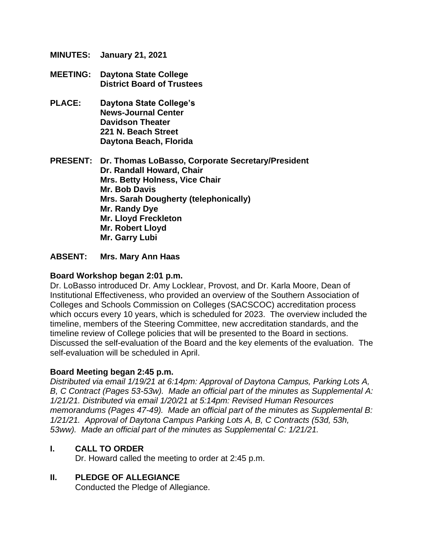- **MINUTES: January 21, 2021**
- **MEETING: Daytona State College District Board of Trustees**
- **PLACE: Daytona State College's News-Journal Center Davidson Theater 221 N. Beach Street Daytona Beach, Florida**

**PRESENT: Dr. Thomas LoBasso, Corporate Secretary/President Dr. Randall Howard, Chair Mrs. Betty Holness, Vice Chair Mr. Bob Davis Mrs. Sarah Dougherty (telephonically) Mr. Randy Dye Mr. Lloyd Freckleton Mr. Robert Lloyd Mr. Garry Lubi**

#### **ABSENT: Mrs. Mary Ann Haas**

#### **Board Workshop began 2:01 p.m.**

Dr. LoBasso introduced Dr. Amy Locklear, Provost, and Dr. Karla Moore, Dean of Institutional Effectiveness, who provided an overview of the Southern Association of Colleges and Schools Commission on Colleges (SACSCOC) accreditation process which occurs every 10 years, which is scheduled for 2023. The overview included the timeline, members of the Steering Committee, new accreditation standards, and the timeline review of College policies that will be presented to the Board in sections. Discussed the self-evaluation of the Board and the key elements of the evaluation. The self-evaluation will be scheduled in April.

#### **Board Meeting began 2:45 p.m.**

*Distributed via email 1/19/21 at 6:14pm: Approval of Daytona Campus, Parking Lots A, B, C Contract (Pages 53-53w). Made an official part of the minutes as Supplemental A: 1/21/21. Distributed via email 1/20/21 at 5:14pm: Revised Human Resources memorandums (Pages 47-49). Made an official part of the minutes as Supplemental B: 1/21/21. Approval of Daytona Campus Parking Lots A, B, C Contracts (53d, 53h, 53ww). Made an official part of the minutes as Supplemental C: 1/21/21.*

#### **I. CALL TO ORDER**

Dr. Howard called the meeting to order at 2:45 p.m.

#### **II. PLEDGE OF ALLEGIANCE**

Conducted the Pledge of Allegiance.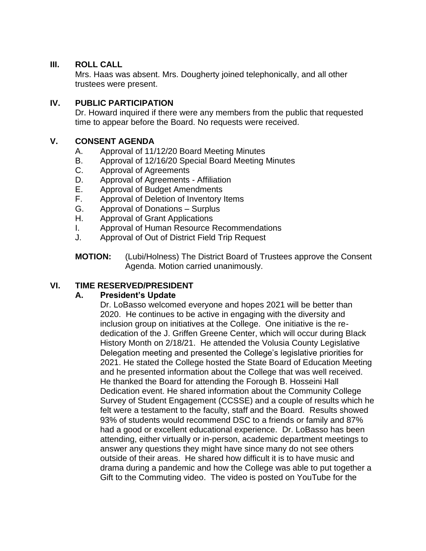#### **III. ROLL CALL**

Mrs. Haas was absent. Mrs. Dougherty joined telephonically, and all other trustees were present.

#### **IV. PUBLIC PARTICIPATION**

Dr. Howard inquired if there were any members from the public that requested time to appear before the Board. No requests were received.

### **V. CONSENT AGENDA**

- A. Approval of 11/12/20 Board Meeting Minutes
- B. Approval of 12/16/20 Special Board Meeting Minutes
- C. Approval of Agreements
- D. Approval of Agreements Affiliation
- E. Approval of Budget Amendments
- F. Approval of Deletion of Inventory Items
- G. Approval of Donations Surplus
- H. Approval of Grant Applications
- I. Approval of Human Resource Recommendations
- J. Approval of Out of District Field Trip Request

**MOTION:** (Lubi/Holness) The District Board of Trustees approve the Consent Agenda. Motion carried unanimously.

### **VI. TIME RESERVED/PRESIDENT**

#### **A. President's Update**

Dr. LoBasso welcomed everyone and hopes 2021 will be better than 2020. He continues to be active in engaging with the diversity and inclusion group on initiatives at the College. One initiative is the rededication of the J. Griffen Greene Center, which will occur during Black History Month on 2/18/21. He attended the Volusia County Legislative Delegation meeting and presented the College's legislative priorities for 2021. He stated the College hosted the State Board of Education Meeting and he presented information about the College that was well received. He thanked the Board for attending the Forough B. Hosseini Hall Dedication event. He shared information about the Community College Survey of Student Engagement (CCSSE) and a couple of results which he felt were a testament to the faculty, staff and the Board. Results showed 93% of students would recommend DSC to a friends or family and 87% had a good or excellent educational experience. Dr. LoBasso has been attending, either virtually or in-person, academic department meetings to answer any questions they might have since many do not see others outside of their areas. He shared how difficult it is to have music and drama during a pandemic and how the College was able to put together a Gift to the Commuting video. The video is posted on YouTube for the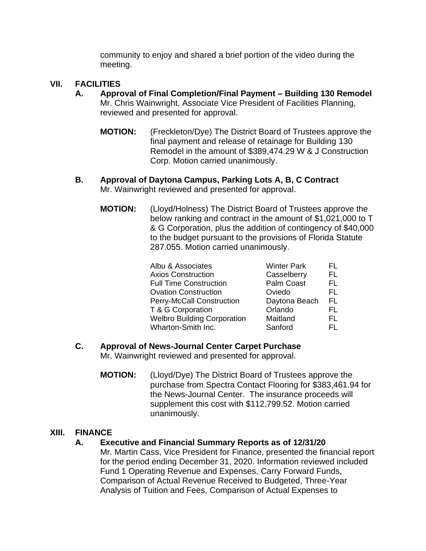community to enjoy and shared a brief portion of the video during the meeting.

#### **VII. FACILITIES**

- **A. Approval of Final Completion/Final Payment – Building 130 Remodel** Mr. Chris Wainwright, Associate Vice President of Facilities Planning, reviewed and presented for approval.
	- **MOTION:** (Freckleton/Dye) The District Board of Trustees approve the final payment and release of retainage for Building 130 Remodel in the amount of \$389,474.29 W & J Construction Corp. Motion carried unanimously.
- **B. Approval of Daytona Campus, Parking Lots A, B, C Contract** Mr. Wainwright reviewed and presented for approval.
	- **MOTION:** (Lloyd/Holness) The District Board of Trustees approve the below ranking and contract in the amount of \$1,021,000 to T & G Corporation, plus the addition of contingency of \$40,000 to the budget pursuant to the provisions of Florida Statute 287.055. Motion carried unanimously.

| Albu & Associates                  | <b>Winter Park</b> | FL  |
|------------------------------------|--------------------|-----|
| <b>Axios Construction</b>          | Casselberry        | FL  |
| <b>Full Time Construction</b>      | Palm Coast         | FL. |
| <b>Ovation Construction</b>        | Oviedo             | FL  |
| Perry-McCall Construction          | Daytona Beach      | FL. |
| T & G Corporation                  | Orlando            | FL. |
| <b>Welbro Building Corporation</b> | Maitland           | FL. |
| Wharton-Smith Inc.                 | Sanford            | FL. |

### **C. Approval of News-Journal Center Carpet Purchase**

Mr. Wainwright reviewed and presented for approval.

**MOTION:** (Lloyd/Dye) The District Board of Trustees approve the purchase from Spectra Contact Flooring for \$383,461.94 for the News-Journal Center. The insurance proceeds will supplement this cost with \$112,799.52. Motion carried unanimously.

#### **XIII. FINANCE**

#### **A. Executive and Financial Summary Reports as of 12/31/20**

Mr. Martin Cass, Vice President for Finance, presented the financial report for the period ending December 31, 2020. Information reviewed included Fund 1 Operating Revenue and Expenses, Carry Forward Funds, Comparison of Actual Revenue Received to Budgeted, Three-Year Analysis of Tuition and Fees, Comparison of Actual Expenses to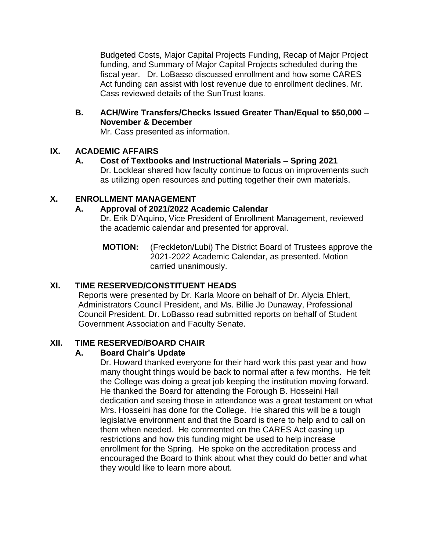Budgeted Costs, Major Capital Projects Funding, Recap of Major Project funding, and Summary of Major Capital Projects scheduled during the fiscal year. Dr. LoBasso discussed enrollment and how some CARES Act funding can assist with lost revenue due to enrollment declines. Mr. Cass reviewed details of the SunTrust loans.

**B. ACH/Wire Transfers/Checks Issued Greater Than/Equal to \$50,000 – November & December**

Mr. Cass presented as information.

## **IX. ACADEMIC AFFAIRS**

### **A. Cost of Textbooks and Instructional Materials – Spring 2021**

Dr. Locklear shared how faculty continue to focus on improvements such as utilizing open resources and putting together their own materials.

### **X. ENROLLMENT MANAGEMENT**

## **A. Approval of 2021/2022 Academic Calendar**

Dr. Erik D'Aquino, Vice President of Enrollment Management, reviewed the academic calendar and presented for approval.

**MOTION:** (Freckleton/Lubi) The District Board of Trustees approve the 2021-2022 Academic Calendar, as presented. Motion carried unanimously.

# **XI. TIME RESERVED/CONSTITUENT HEADS**

Reports were presented by Dr. Karla Moore on behalf of Dr. Alycia Ehlert, Administrators Council President, and Ms. Billie Jo Dunaway, Professional Council President. Dr. LoBasso read submitted reports on behalf of Student Government Association and Faculty Senate.

### **XII. TIME RESERVED/BOARD CHAIR**

# **A. Board Chair's Update**

Dr. Howard thanked everyone for their hard work this past year and how many thought things would be back to normal after a few months. He felt the College was doing a great job keeping the institution moving forward. He thanked the Board for attending the Forough B. Hosseini Hall dedication and seeing those in attendance was a great testament on what Mrs. Hosseini has done for the College. He shared this will be a tough legislative environment and that the Board is there to help and to call on them when needed. He commented on the CARES Act easing up restrictions and how this funding might be used to help increase enrollment for the Spring. He spoke on the accreditation process and encouraged the Board to think about what they could do better and what they would like to learn more about.